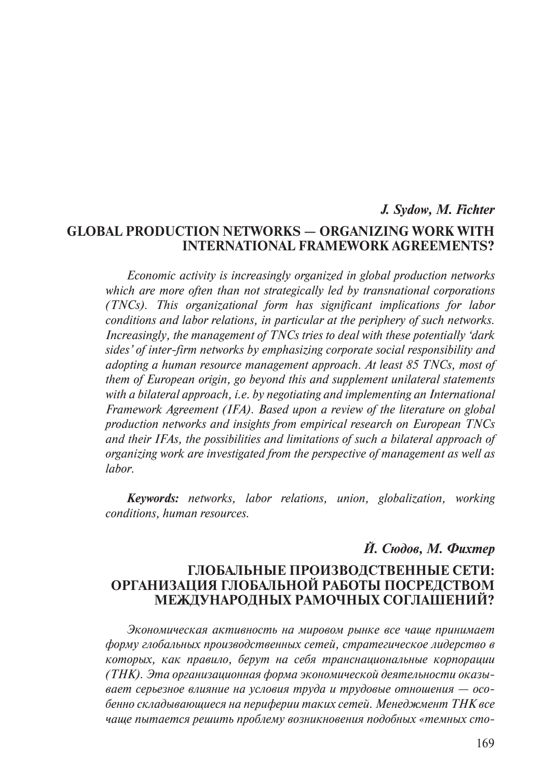# *J. Sydow, M. Fichter* **Global Production Networks — Organizing Work with International Framework Agreements?**

*Economic activity is increasingly organized in global production networks which are more often than not strategically led by transnational corporations (TNCs). This organizational form has significant implications for labor conditions and labor relations, in particular at the periphery of such networks. Increasingly, the management of TNCs tries to deal with these potentially 'dark sides' of inter-firm networks by emphasizing corporate social responsibility and adopting a human resource management approach. At least 85 TNCs, most of them of European origin, go beyond this and supplement unilateral statements with a bilateral approach, i.e. by negotiating and implementing an International Framework Agreement (IFA). Based upon a review of the literature on global production networks and insights from empirical research on European TNCs and their IFAs, the possibilities and limitations of such a bilateral approach of organizing work are investigated from the perspective of management as well as labor.* 

*Keywords: networks, labor relations, union, globalization, working conditions, human resources.*

## *Й. Сюдов, М. Фихтер*

## **Глобальные производственные сети: организация глобальной работы посредством международных рамочных соглашений?**

*Экономическая активность на мировом рынке все чаще принимает форму глобальных производственных сетей, стратегическое лидерство в которых, как правило, берут на себя транснациональные корпорации (ТНК). Эта организационная форма экономической деятельности оказывает серьезное влияние на условия труда и трудовые отношения — особенно складывающиеся на периферии таких сетей. Менеджмент ТНК все чаще пытается решить проблему возникновения подобных «темных сто-*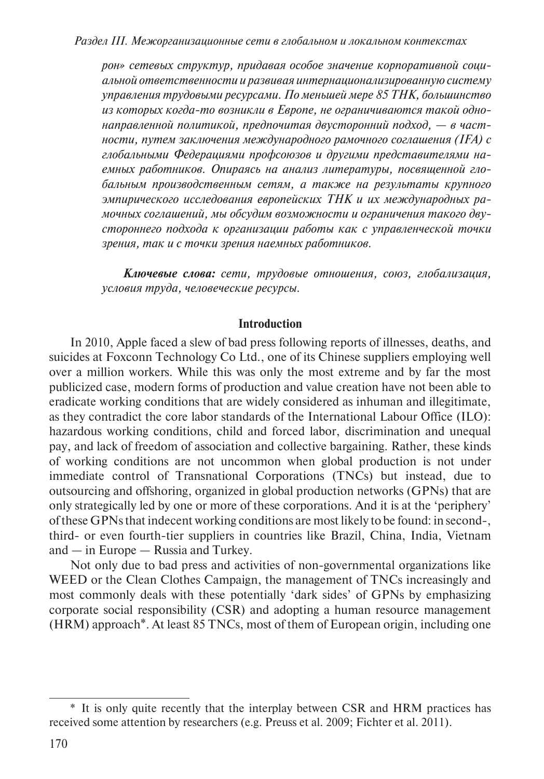*рон» сетевых структур, придавая особое значение корпоративной социальной ответственности и развивая интернационализированную систему управления трудовыми ресурсами. По меньшей мере 85 ТНК, большинство из которых когда-то возникли в Европе, не ограничиваются такой однонаправленной политикой, предпочитая двусторонний подход, — в частности, путем заключения международного рамочного соглашения (IFA) с глобальными Федерациями профсоюзов и другими представителями наемных работников. Опираясь на анализ литературы, посвященной глобальным производственным сетям, а также на результаты крупного эмпирического исследования европейских ТНК и их международных рамочных соглашений, мы обсудим возможности и ограничения такого двустороннего подхода к организации работы как с управленческой точки зрения, так и с точки зрения наемных работников.*

*Ключевые слова: сети, трудовые отношения, союз, глобализация, условия труда, человеческие ресурсы.*

#### **Introduction**

In 2010, Apple faced a slew of bad press following reports of illnesses, deaths, and suicides at Foxconn Technology Co Ltd., one of its Chinese suppliers employing well over a million workers. While this was only the most extreme and by far the most publicized case, modern forms of production and value creation have not been able to eradicate working conditions that are widely considered as inhuman and illegitimate, as they contradict the core labor standards of the International Labour Office (ILO): hazardous working conditions, child and forced labor, discrimination and unequal pay, and lack of freedom of association and collective bargaining. Rather, these kinds of working conditions are not uncommon when global production is not under immediate control of Transnational Corporations (TNCs) but instead, due to outsourcing and offshoring, organized in global production networks (GPNs) that are only strategically led by one or more of these corporations. And it is at the 'periphery' of these GPNs that indecent working conditions are most likely to be found: in second-, third- or even fourth-tier suppliers in countries like Brazil, China, India, Vietnam and — in Europe — Russia and Turkey.

Not only due to bad press and activities of non-governmental organizations like WEED or the Clean Clothes Campaign, the management of TNCs increasingly and most commonly deals with these potentially 'dark sides' of GPNs by emphasizing corporate social responsibility (CSR) and adopting a human resource management (HRM) approach\*. At least 85 TNCs, most of them of European origin, including one

<sup>\*</sup> It is only quite recently that the interplay between CSR and HRM practices has received some attention by researchers (e.g. Preuss et al. 2009; Fichter et al. 2011).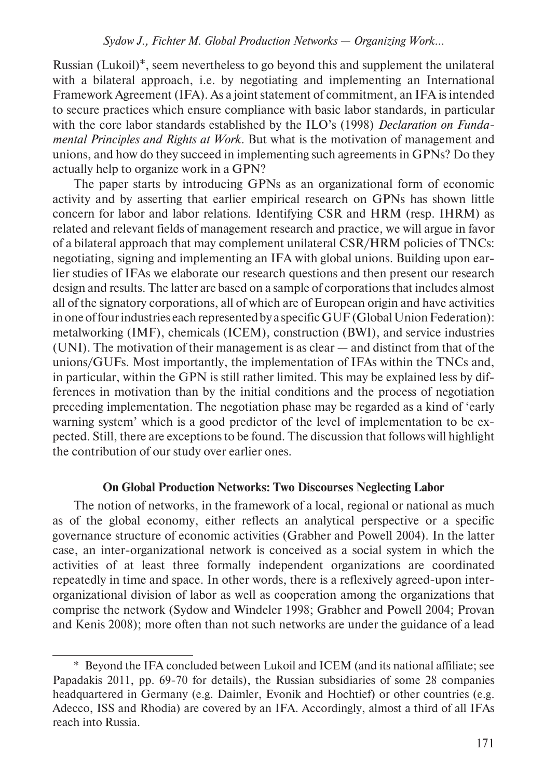Russian (Lukoil)\*, seem nevertheless to go beyond this and supplement the unilateral with a bilateral approach, i.e. by negotiating and implementing an International Framework Agreement (IFA). As a joint statement of commitment, an IFA is intended to secure practices which ensure compliance with basic labor standards, in particular with the core labor standards established by the ILO's (1998) *Declaration on Fundamental Principles and Rights at Work.* But what is the motivation of management and unions, and how do they succeed in implementing such agreements in GPNs? Do they actually help to organize work in a GPN?

The paper starts by introducing GPNs as an organizational form of economic activity and by asserting that earlier empirical research on GPNs has shown little concern for labor and labor relations. Identifying CSR and HRM (resp. IHRM) as related and relevant fields of management research and practice, we will argue in favor of a bilateral approach that may complement unilateral CSR/HRM policies of TNCs: negotiating, signing and implementing an IFA with global unions. Building upon earlier studies of IFAs we elaborate our research questions and then present our research design and results. The latter are based on a sample of corporations that includes almost all of the signatory corporations, all of which are of European origin and have activities in one of four industries each represented by a specific GUF (Global Union Federation): metalworking (IMF), chemicals (ICEM), construction (BWI), and service industries (UNI). The motivation of their management is as clear — and distinct from that of the unions/GUFs. Most importantly, the implementation of IFAs within the TNCs and, in particular, within the GPN is still rather limited. This may be explained less by differences in motivation than by the initial conditions and the process of negotiation preceding implementation. The negotiation phase may be regarded as a kind of 'early warning system' which is a good predictor of the level of implementation to be expected. Still, there are exceptions to be found. The discussion that follows will highlight the contribution of our study over earlier ones.

#### **On Global Production Networks: Two Discourses Neglecting Labor**

The notion of networks, in the framework of a local, regional or national as much as of the global economy, either reflects an analytical perspective or a specific governance structure of economic activities (Grabher and Powell 2004). In the latter case, an inter-organizational network is conceived as a social system in which the activities of at least three formally independent organizations are coordinated repeatedly in time and space. In other words, there is a reflexively agreed-upon interorganizational division of labor as well as cooperation among the organizations that comprise the network (Sydow and Windeler 1998; Grabher and Powell 2004; Provan and Kenis 2008); more often than not such networks are under the guidance of a lead

<sup>\*</sup> Beyond the IFA concluded between Lukoil and ICEM (and its national affiliate; see Papadakis 2011, pp. 69-70 for details), the Russian subsidiaries of some 28 companies headquartered in Germany (e.g. Daimler, Evonik and Hochtief) or other countries (e.g. Adecco, ISS and Rhodia) are covered by an IFA. Accordingly, almost a third of all IFAs reach into Russia.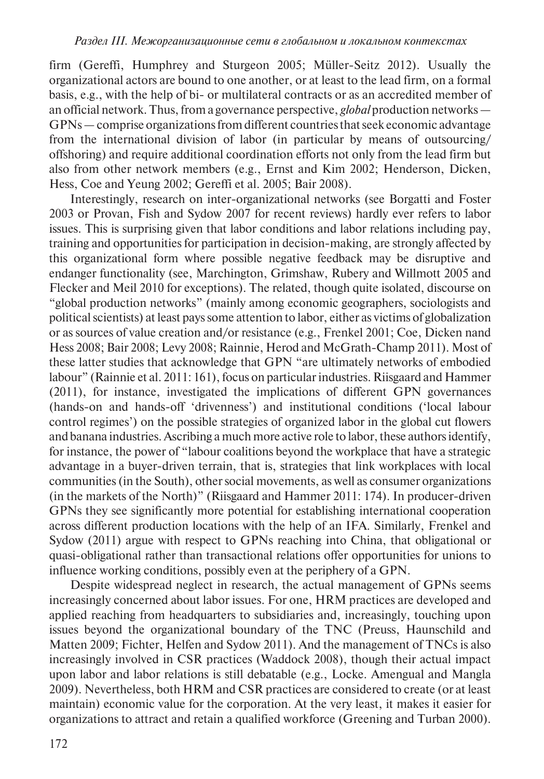firm (Gereffi, Humphrey and Sturgeon 2005; Müller-Seitz 2012). Usually the organizational actors are bound to one another, or at least to the lead firm, on a formal basis, e.g., with the help of bi- or multilateral contracts or as an accredited member of an official network. Thus, from a governance perspective, *global* production networks — GPNs — comprise organizations from different countries that seek economic advantage from the international division of labor (in particular by means of outsourcing/ offshoring) and require additional coordination efforts not only from the lead firm but also from other network members (e.g., Ernst and Kim 2002; Henderson, Dicken, Hess, Coe and Yeung 2002; Gereffi et al. 2005; Bair 2008).

Interestingly, research on inter-organizational networks (see Borgatti and Foster 2003 or Provan, Fish and Sydow 2007 for recent reviews) hardly ever refers to labor issues. This is surprising given that labor conditions and labor relations including pay, training and opportunities for participation in decision-making, are strongly affected by this organizational form where possible negative feedback may be disruptive and endanger functionality (see, Marchington, Grimshaw, Rubery and Willmott 2005 and Flecker and Meil 2010 for exceptions). The related, though quite isolated, discourse on "global production networks" (mainly among economic geographers, sociologists and political scientists) at least pays some attention to labor, either as victims of globalization or as sources of value creation and/or resistance (e.g., Frenkel 2001; Coe, Dicken nand Hess 2008; Bair 2008; Levy 2008; Rainnie, Herod and McGrath-Champ 2011). Most of these latter studies that acknowledge that GPN "are ultimately networks of embodied labour" (Rainnie et al. 2011: 161), focus on particular industries. Riisgaard and Hammer (2011), for instance, investigated the implications of different GPN governances (hands-on and hands-off 'drivenness') and institutional conditions ('local labour control regimes') on the possible strategies of organized labor in the global cut flowers and banana industries. Ascribing a much more active role to labor, these authors identify, for instance, the power of "labour coalitions beyond the workplace that have a strategic advantage in a buyer-driven terrain, that is, strategies that link workplaces with local communities (in the South), other social movements, as well as consumer organizations (in the markets of the North)" (Riisgaard and Hammer 2011: 174). In producer-driven GPNs they see significantly more potential for establishing international cooperation across different production locations with the help of an IFA. Similarly, Frenkel and Sydow (2011) argue with respect to GPNs reaching into China, that obligational or quasi-obligational rather than transactional relations offer opportunities for unions to influence working conditions, possibly even at the periphery of a GPN.

Despite widespread neglect in research, the actual management of GPNs seems increasingly concerned about labor issues. For one, HRM practices are developed and applied reaching from headquarters to subsidiaries and, increasingly, touching upon issues beyond the organizational boundary of the TNC (Preuss, Haunschild and Matten 2009; Fichter, Helfen and Sydow 2011). And the management of TNCs is also increasingly involved in CSR practices (Waddock 2008), though their actual impact upon labor and labor relations is still debatable (e.g., Locke. Amengual and Mangla 2009). Nevertheless, both HRM and CSR practices are considered to create (or at least maintain) economic value for the corporation. At the very least, it makes it easier for organizations to attract and retain a qualified workforce (Greening and Turban 2000).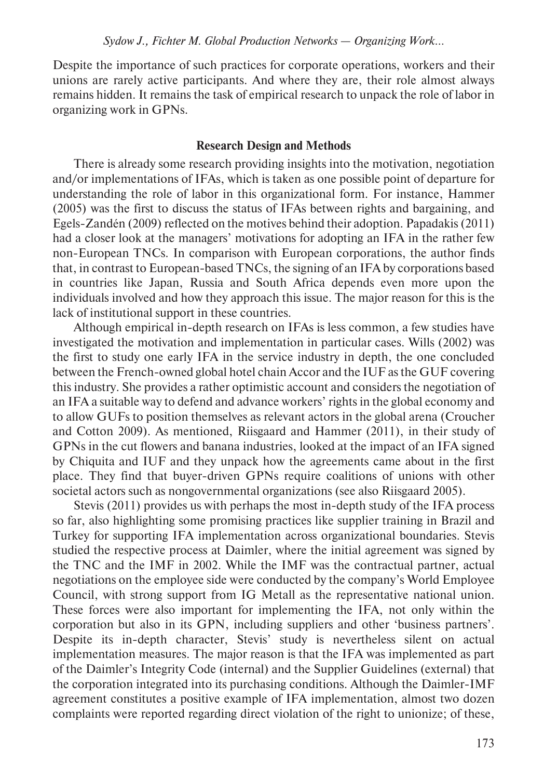Despite the importance of such practices for corporate operations, workers and their unions are rarely active participants. And where they are, their role almost always remains hidden. It remains the task of empirical research to unpack the role of labor in organizing work in GPNs.

#### **Research Design and Methods**

There is already some research providing insights into the motivation, negotiation and/or implementations of IFAs, which is taken as one possible point of departure for understanding the role of labor in this organizational form. For instance, Hammer (2005) was the first to discuss the status of IFAs between rights and bargaining, and Egels-Zandén (2009) reflected on the motives behind their adoption. Papadakis (2011) had a closer look at the managers' motivations for adopting an IFA in the rather few non-European TNCs. In comparison with European corporations, the author finds that, in contrast to European-based TNCs, the signing of an IFA by corporations based in countries like Japan, Russia and South Africa depends even more upon the individuals involved and how they approach this issue. The major reason for this is the lack of institutional support in these countries.

Although empirical in-depth research on IFAs is less common, a few studies have investigated the motivation and implementation in particular cases. Wills (2002) was the first to study one early IFA in the service industry in depth, the one concluded between the French-owned global hotel chain Accor and the IUF as the GUF covering this industry. She provides a rather optimistic account and considers the negotiation of an IFA a suitable way to defend and advance workers' rights in the global economy and to allow GUFs to position themselves as relevant actors in the global arena (Croucher and Cotton 2009). As mentioned, Riisgaard and Hammer (2011), in their study of GPNs in the cut flowers and banana industries, looked at the impact of an IFA signed by Chiquita and IUF and they unpack how the agreements came about in the first place. They find that buyer-driven GPNs require coalitions of unions with other societal actors such as nongovernmental organizations (see also Riisgaard 2005).

Stevis (2011) provides us with perhaps the most in-depth study of the IFA process so far, also highlighting some promising practices like supplier training in Brazil and Turkey for supporting IFA implementation across organizational boundaries. Stevis studied the respective process at Daimler, where the initial agreement was signed by the TNC and the IMF in 2002. While the IMF was the contractual partner, actual negotiations on the employee side were conducted by the company's World Employee Council, with strong support from IG Metall as the representative national union. These forces were also important for implementing the IFA, not only within the corporation but also in its GPN, including suppliers and other 'business partners'. Despite its in-depth character, Stevis' study is nevertheless silent on actual implementation measures. The major reason is that the IFA was implemented as part of the Daimler's Integrity Code (internal) and the Supplier Guidelines (external) that the corporation integrated into its purchasing conditions. Although the Daimler-IMF agreement constitutes a positive example of IFA implementation, almost two dozen complaints were reported regarding direct violation of the right to unionize; of these,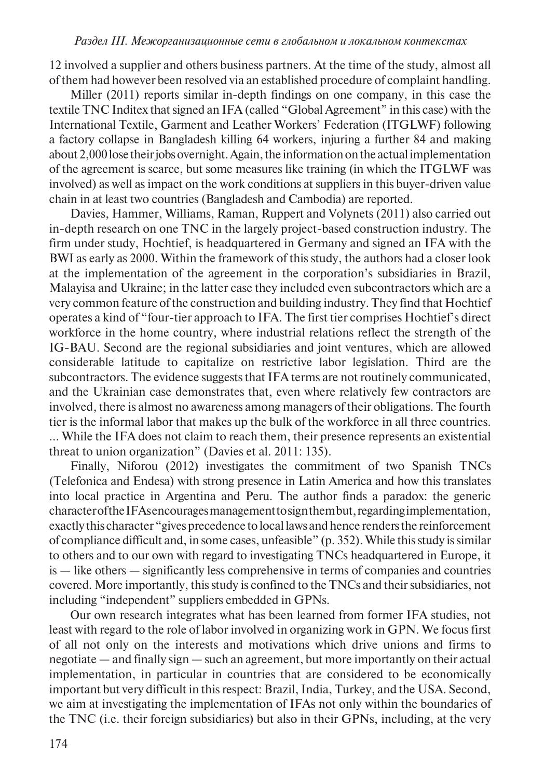12 involved a supplier and others business partners. At the time of the study, almost all of them had however been resolved via an established procedure of complaint handling.

Miller (2011) reports similar in-depth findings on one company, in this case the textile TNC Inditex that signed an IFA (called "Global Agreement" in this case) with the International Textile, Garment and Leather Workers' Federation (ITGLWF) following a factory collapse in Bangladesh killing 64 workers, injuring a further 84 and making about 2,000 lose their jobs overnight. Again, the information on the actual implementation of the agreement is scarce, but some measures like training (in which the ITGLWF was involved) as well as impact on the work conditions at suppliers in this buyer-driven value chain in at least two countries (Bangladesh and Cambodia) are reported.

Davies, Hammer, Williams, Raman, Ruppert and Volynets (2011) also carried out in-depth research on one TNC in the largely project-based construction industry. The firm under study, Hochtief, is headquartered in Germany and signed an IFA with the BWI as early as 2000. Within the framework of this study, the authors had a closer look at the implementation of the agreement in the corporation's subsidiaries in Brazil, Malayisa and Ukraine; in the latter case they included even subcontractors which are a very common feature of the construction and building industry. They find that Hochtief operates a kind of "four-tier approach to IFA. The first tier comprises Hochtief's direct workforce in the home country, where industrial relations reflect the strength of the IG-BAU. Second are the regional subsidiaries and joint ventures, which are allowed considerable latitude to capitalize on restrictive labor legislation. Third are the subcontractors. The evidence suggests that IFA terms are not routinely communicated, and the Ukrainian case demonstrates that, even where relatively few contractors are involved, there is almost no awareness among managers of their obligations. The fourth tier is the informal labor that makes up the bulk of the workforce in all three countries. … While the IFA does not claim to reach them, their presence represents an existential threat to union organization" (Davies et al. 2011: 135).

Finally, Niforou (2012) investigates the commitment of two Spanish TNCs (Telefonica and Endesa) with strong presence in Latin America and how this translates into local practice in Argentina and Peru. The author finds a paradox: the generic character of the IFAs encourages management to sign them but, regarding implementation, exactly this character "gives precedence to local laws and hence renders the reinforcement of compliance difficult and, in some cases, unfeasible" (p. 352). While this study is similar to others and to our own with regard to investigating TNCs headquartered in Europe, it is — like others — significantly less comprehensive in terms of companies and countries covered. More importantly, this study is confined to the TNCs and their subsidiaries, not including "independent" suppliers embedded in GPNs.

Our own research integrates what has been learned from former IFA studies, not least with regard to the role of labor involved in organizing work in GPN. We focus first of all not only on the interests and motivations which drive unions and firms to negotiate — and finally sign — such an agreement, but more importantly on their actual implementation, in particular in countries that are considered to be economically important but very difficult in this respect: Brazil, India, Turkey, and the USA. Second, we aim at investigating the implementation of IFAs not only within the boundaries of the TNC (i.e. their foreign subsidiaries) but also in their GPNs, including, at the very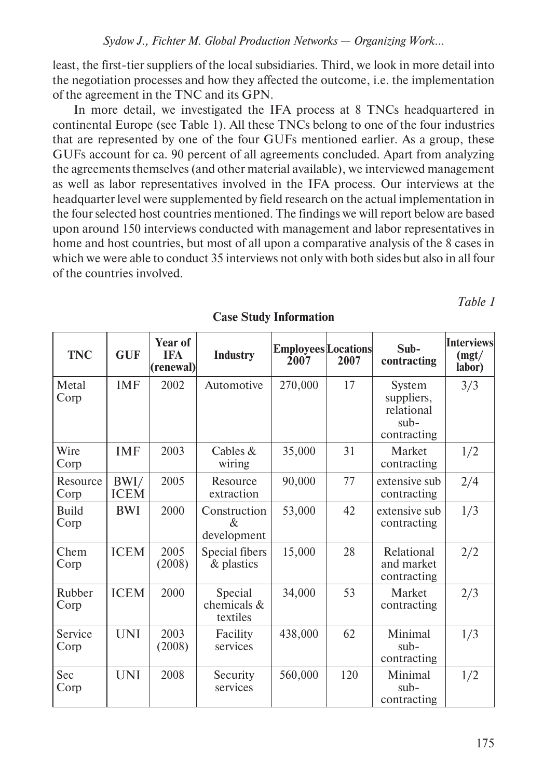least, the first-tier suppliers of the local subsidiaries. Third, we look in more detail into the negotiation processes and how they affected the outcome, i.e. the implementation of the agreement in the TNC and its GPN.

In more detail, we investigated the IFA process at 8 TNCs headquartered in continental Europe (see Table 1). All these TNCs belong to one of the four industries that are represented by one of the four GUFs mentioned earlier. As a group, these GUFs account for ca. 90 percent of all agreements concluded. Apart from analyzing the agreements themselves (and other material available), we interviewed management as well as labor representatives involved in the IFA process. Our interviews at the headquarter level were supplemented by field research on the actual implementation in the four selected host countries mentioned. The findings we will report below are based upon around 150 interviews conducted with management and labor representatives in home and host countries, but most of all upon a comparative analysis of the 8 cases in which we were able to conduct 35 interviews not only with both sides but also in all four of the countries involved.

*Table 1* 

| <b>TNC</b>           | <b>GUF</b>          | Year of<br><b>IFA</b><br>(renewal) | <b>Industry</b>                    | <b>Employees</b> Locations<br>2007 | 2007 | $Sub -$<br>contracting                                      | <b>Interviews</b><br>(mgt/<br>labor) |
|----------------------|---------------------|------------------------------------|------------------------------------|------------------------------------|------|-------------------------------------------------------------|--------------------------------------|
| Metal<br>Corp        | <b>IMF</b>          | 2002                               | Automotive                         | 270,000                            | 17   | System<br>suppliers,<br>relational<br>$sub-$<br>contracting | 3/3                                  |
| Wire<br>Corp         | <b>IMF</b>          | 2003                               | Cables $&$<br>wiring               | 35,000                             | 31   | Market<br>contracting                                       | 1/2                                  |
| Resource<br>Corp     | BWI/<br><b>ICEM</b> | 2005                               | Resource<br>extraction             | 90,000                             | 77   | extensive sub<br>contracting                                | 2/4                                  |
| <b>Build</b><br>Corp | BWI                 | 2000                               | Construction<br>&<br>development   | 53,000                             | 42   | extensive sub<br>contracting                                | 1/3                                  |
| Chem<br>Corp         | <b>ICEM</b>         | 2005<br>(2008)                     | Special fibers<br>& plastics       | 15,000                             | 28   | Relational<br>and market<br>contracting                     | 2/2                                  |
| Rubber<br>Corp       | <b>ICEM</b>         | 2000                               | Special<br>chemicals &<br>textiles | 34,000                             | 53   | Market<br>contracting                                       | 2/3                                  |
| Service<br>Corp      | <b>UNI</b>          | 2003<br>(2008)                     | Facility<br>services               | 438,000                            | 62   | Minimal<br>$sub-$<br>contracting                            | 1/3                                  |
| Sec<br>Corp          | <b>UNI</b>          | 2008                               | Security<br>services               | 560,000                            | 120  | Minimal<br>$sub-$<br>contracting                            | 1/2                                  |

#### **Case Study Information**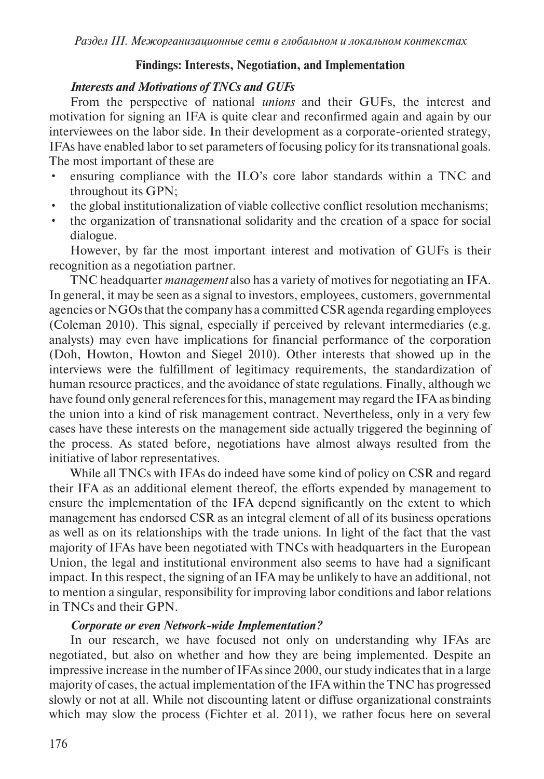### **Findings: Interests, Negotiation, and Implementation**

### *Interests and Motivations of TNCs and GUFs*

From the perspective of national *unions* and their GUFs, the interest and motivation for signing an IFA is quite clear and reconfirmed again and again by our interviewees on the labor side. In their development as a corporate-oriented strategy, IFAs have enabled labor to set parameters of focusing policy for its transnational goals. The most important of these are

- ensuring compliance with the ILO's core labor standards within a TNC and throughout its GPN;
- the global institutionalization of viable collective conflict resolution mechanisms;
- the organization of transnational solidarity and the creation of a space for social dialogue.

However, by far the most important interest and motivation of GUFs is their recognition as a negotiation partner.

TNC headquarter *management* also has a variety of motives for negotiating an IFA. In general, it may be seen as a signal to investors, employees, customers, governmental agencies or NGOs that the company has a committed CSR agenda regarding employees (Coleman 2010). This signal, especially if perceived by relevant intermediaries (e.g. analysts) may even have implications for financial performance of the corporation (Doh, Howton, Howton and Siegel 2010). Other interests that showed up in the interviews were the fulfillment of legitimacy requirements, the standardization of human resource practices, and the avoidance of state regulations. Finally, although we have found only general references for this, management may regard the IFA as binding the union into a kind of risk management contract. Nevertheless, only in a very few cases have these interests on the management side actually triggered the beginning of the process. As stated before, negotiations have almost always resulted from the initiative of labor representatives.

While all TNCs with IFAs do indeed have some kind of policy on CSR and regard their IFA as an additional element thereof, the efforts expended by management to ensure the implementation of the IFA depend significantly on the extent to which management has endorsed CSR as an integral element of all of its business operations as well as on its relationships with the trade unions. In light of the fact that the vast majority of IFAs have been negotiated with TNCs with headquarters in the European Union, the legal and institutional environment also seems to have had a significant impact. In this respect, the signing of an IFA may be unlikely to have an additional, not to mention a singular, responsibility for improving labor conditions and labor relations in TNCs and their GPN.

## *Corporate or even Network-wide Implementation?*

In our research, we have focused not only on understanding why IFAs are negotiated, but also on whether and how they are being implemented. Despite an impressive increase in the number of IFAs since 2000, our study indicates that in a large majority of cases, the actual implementation of the IFA within the TNC has progressed slowly or not at all. While not discounting latent or diffuse organizational constraints which may slow the process (Fichter et al. 2011), we rather focus here on several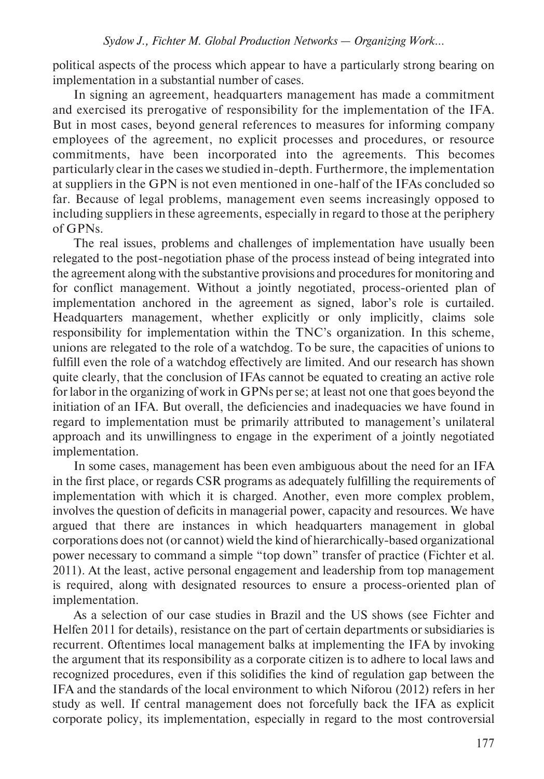political aspects of the process which appear to have a particularly strong bearing on implementation in a substantial number of cases.

In signing an agreement, headquarters management has made a commitment and exercised its prerogative of responsibility for the implementation of the IFA. But in most cases, beyond general references to measures for informing company employees of the agreement, no explicit processes and procedures, or resource commitments, have been incorporated into the agreements. This becomes particularly clear in the cases we studied in-depth. Furthermore, the implementation at suppliers in the GPN is not even mentioned in one-half of the IFAs concluded so far. Because of legal problems, management even seems increasingly opposed to including suppliers in these agreements, especially in regard to those at the periphery of GPNs.

The real issues, problems and challenges of implementation have usually been relegated to the post-negotiation phase of the process instead of being integrated into the agreement along with the substantive provisions and procedures for monitoring and for conflict management. Without a jointly negotiated, process-oriented plan of implementation anchored in the agreement as signed, labor's role is curtailed. Headquarters management, whether explicitly or only implicitly, claims sole responsibility for implementation within the TNC's organization. In this scheme, unions are relegated to the role of a watchdog. To be sure, the capacities of unions to fulfill even the role of a watchdog effectively are limited. And our research has shown quite clearly, that the conclusion of IFAs cannot be equated to creating an active role for labor in the organizing of work in GPNs per se; at least not one that goes beyond the initiation of an IFA. But overall, the deficiencies and inadequacies we have found in regard to implementation must be primarily attributed to management's unilateral approach and its unwillingness to engage in the experiment of a jointly negotiated implementation.

In some cases, management has been even ambiguous about the need for an IFA in the first place, or regards CSR programs as adequately fulfilling the requirements of implementation with which it is charged. Another, even more complex problem, involves the question of deficits in managerial power, capacity and resources. We have argued that there are instances in which headquarters management in global corporations does not (or cannot) wield the kind of hierarchically-based organizational power necessary to command a simple "top down" transfer of practice (Fichter et al. 2011). At the least, active personal engagement and leadership from top management is required, along with designated resources to ensure a process-oriented plan of implementation.

As a selection of our case studies in Brazil and the US shows (see Fichter and Helfen 2011 for details), resistance on the part of certain departments or subsidiaries is recurrent. Oftentimes local management balks at implementing the IFA by invoking the argument that its responsibility as a corporate citizen is to adhere to local laws and recognized procedures, even if this solidifies the kind of regulation gap between the IFA and the standards of the local environment to which Niforou (2012) refers in her study as well. If central management does not forcefully back the IFA as explicit corporate policy, its implementation, especially in regard to the most controversial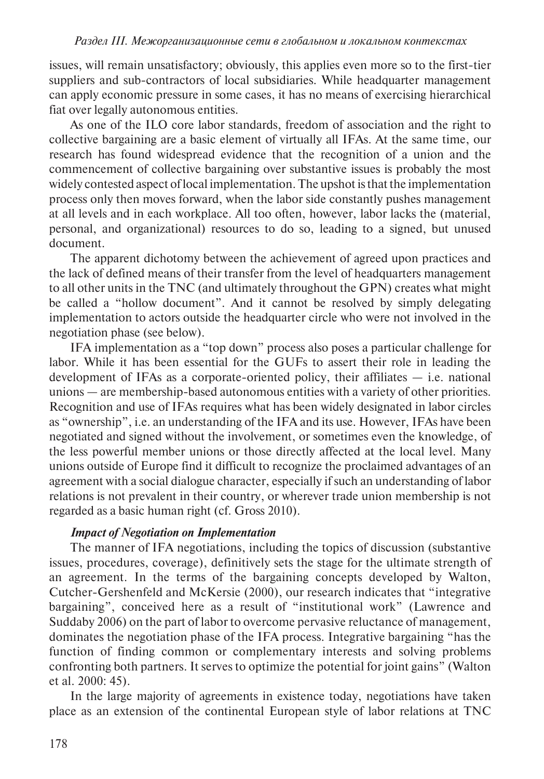issues, will remain unsatisfactory; obviously, this applies even more so to the first-tier suppliers and sub-contractors of local subsidiaries. While headquarter management can apply economic pressure in some cases, it has no means of exercising hierarchical fiat over legally autonomous entities.

As one of the ILO core labor standards, freedom of association and the right to collective bargaining are a basic element of virtually all IFAs. At the same time, our research has found widespread evidence that the recognition of a union and the commencement of collective bargaining over substantive issues is probably the most widely contested aspect of local implementation. The upshot is that the implementation process only then moves forward, when the labor side constantly pushes management at all levels and in each workplace. All too often, however, labor lacks the (material, personal, and organizational) resources to do so, leading to a signed, but unused document.

The apparent dichotomy between the achievement of agreed upon practices and the lack of defined means of their transfer from the level of headquarters management to all other units in the TNC (and ultimately throughout the GPN) creates what might be called a "hollow document". And it cannot be resolved by simply delegating implementation to actors outside the headquarter circle who were not involved in the negotiation phase (see below).

IFA implementation as a "top down" process also poses a particular challenge for labor. While it has been essential for the GUFs to assert their role in leading the development of IFAs as a corporate-oriented policy, their affiliates — i.e. national unions — are membership-based autonomous entities with a variety of other priorities. Recognition and use of IFAs requires what has been widely designated in labor circles as "ownership", i.e. an understanding of the IFA and its use. However, IFAs have been negotiated and signed without the involvement, or sometimes even the knowledge, of the less powerful member unions or those directly affected at the local level. Many unions outside of Europe find it difficult to recognize the proclaimed advantages of an agreement with a social dialogue character, especially if such an understanding of labor relations is not prevalent in their country, or wherever trade union membership is not regarded as a basic human right (cf. Gross 2010).

## *Impact of Negotiation on Implementation*

The manner of IFA negotiations, including the topics of discussion (substantive issues, procedures, coverage), definitively sets the stage for the ultimate strength of an agreement. In the terms of the bargaining concepts developed by Walton, Cutcher-Gershenfeld and McKersie (2000), our research indicates that "integrative bargaining", conceived here as a result of "institutional work" (Lawrence and Suddaby 2006) on the part of labor to overcome pervasive reluctance of management, dominates the negotiation phase of the IFA process. Integrative bargaining "has the function of finding common or complementary interests and solving problems confronting both partners. It serves to optimize the potential for joint gains" (Walton et al. 2000: 45).

In the large majority of agreements in existence today, negotiations have taken place as an extension of the continental European style of labor relations at TNC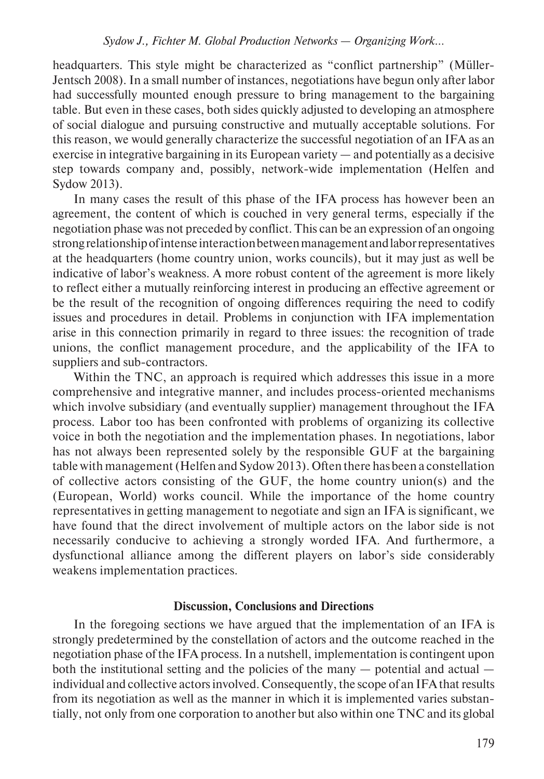headquarters. This style might be characterized as "conflict partnership" (Müller-Jentsch 2008). In a small number of instances, negotiations have begun only after labor had successfully mounted enough pressure to bring management to the bargaining table. But even in these cases, both sides quickly adjusted to developing an atmosphere of social dialogue and pursuing constructive and mutually acceptable solutions. For this reason, we would generally characterize the successful negotiation of an IFA as an exercise in integrative bargaining in its European variety — and potentially as a decisive step towards company and, possibly, network-wide implementation (Helfen and Sydow 2013).

In many cases the result of this phase of the IFA process has however been an agreement, the content of which is couched in very general terms, especially if the negotiation phase was not preceded by conflict. This can be an expression of an ongoing strong relationship of intense interaction between management and labor representatives at the headquarters (home country union, works councils), but it may just as well be indicative of labor's weakness. A more robust content of the agreement is more likely to reflect either a mutually reinforcing interest in producing an effective agreement or be the result of the recognition of ongoing differences requiring the need to codify issues and procedures in detail. Problems in conjunction with IFA implementation arise in this connection primarily in regard to three issues: the recognition of trade unions, the conflict management procedure, and the applicability of the IFA to suppliers and sub-contractors.

Within the TNC, an approach is required which addresses this issue in a more comprehensive and integrative manner, and includes process-oriented mechanisms which involve subsidiary (and eventually supplier) management throughout the IFA process. Labor too has been confronted with problems of organizing its collective voice in both the negotiation and the implementation phases. In negotiations, labor has not always been represented solely by the responsible GUF at the bargaining table with management (Helfen and Sydow 2013). Often there has been a constellation of collective actors consisting of the GUF, the home country union(s) and the (European, World) works council. While the importance of the home country representatives in getting management to negotiate and sign an IFA is significant, we have found that the direct involvement of multiple actors on the labor side is not necessarily conducive to achieving a strongly worded IFA. And furthermore, a dysfunctional alliance among the different players on labor's side considerably weakens implementation practices.

#### **Discussion, Conclusions and Directions**

In the foregoing sections we have argued that the implementation of an IFA is strongly predetermined by the constellation of actors and the outcome reached in the negotiation phase of the IFA process. In a nutshell, implementation is contingent upon both the institutional setting and the policies of the many — potential and actual individual and collective actors involved. Consequently, the scope of an IFA that results from its negotiation as well as the manner in which it is implemented varies substantially, not only from one corporation to another but also within one TNC and its global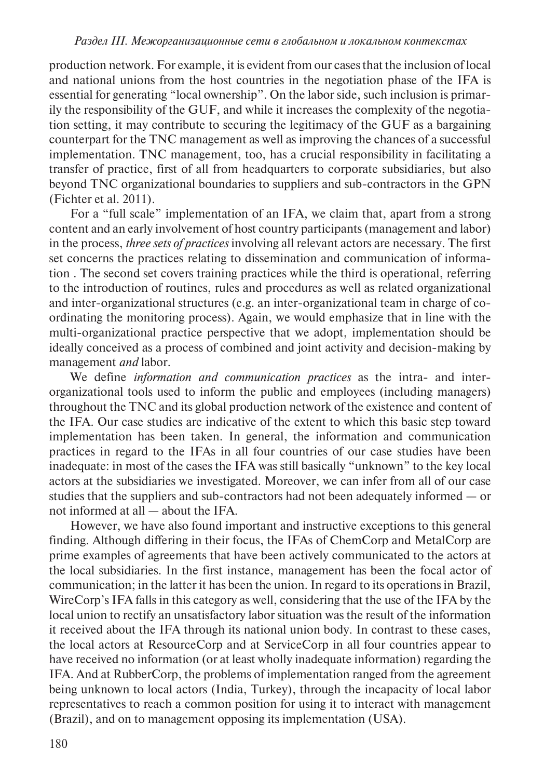production network. For example, it is evident from our cases that the inclusion of local and national unions from the host countries in the negotiation phase of the IFA is essential for generating "local ownership". On the labor side, such inclusion is primarily the responsibility of the GUF, and while it increases the complexity of the negotiation setting, it may contribute to securing the legitimacy of the GUF as a bargaining counterpart for the TNC management as well as improving the chances of a successful implementation. TNC management, too, has a crucial responsibility in facilitating a transfer of practice, first of all from headquarters to corporate subsidiaries, but also beyond TNC organizational boundaries to suppliers and sub-contractors in the GPN (Fichter et al. 2011).

For a "full scale" implementation of an IFA, we claim that, apart from a strong content and an early involvement of host country participants (management and labor) in the process, *three sets of practices* involving all relevant actors are necessary. The first set concerns the practices relating to dissemination and communication of information . The second set covers training practices while the third is operational, referring to the introduction of routines, rules and procedures as well as related organizational and inter-organizational structures (e.g. an inter-organizational team in charge of coordinating the monitoring process). Again, we would emphasize that in line with the multi-organizational practice perspective that we adopt, implementation should be ideally conceived as a process of combined and joint activity and decision-making by management *and* labor.

We define *information and communication practices* as the intra- and interorganizational tools used to inform the public and employees (including managers) throughout the TNC and its global production network of the existence and content of the IFA. Our case studies are indicative of the extent to which this basic step toward implementation has been taken. In general, the information and communication practices in regard to the IFAs in all four countries of our case studies have been inadequate: in most of the cases the IFA was still basically "unknown" to the key local actors at the subsidiaries we investigated. Moreover, we can infer from all of our case studies that the suppliers and sub-contractors had not been adequately informed — or not informed at all — about the IFA.

However, we have also found important and instructive exceptions to this general finding. Although differing in their focus, the IFAs of ChemCorp and MetalCorp are prime examples of agreements that have been actively communicated to the actors at the local subsidiaries. In the first instance, management has been the focal actor of communication; in the latter it has been the union. In regard to its operations in Brazil, WireCorp's IFA falls in this category as well, considering that the use of the IFA by the local union to rectify an unsatisfactory labor situation was the result of the information it received about the IFA through its national union body. In contrast to these cases, the local actors at ResourceCorp and at ServiceCorp in all four countries appear to have received no information (or at least wholly inadequate information) regarding the IFA. And at RubberCorp, the problems of implementation ranged from the agreement being unknown to local actors (India, Turkey), through the incapacity of local labor representatives to reach a common position for using it to interact with management (Brazil), and on to management opposing its implementation (USA).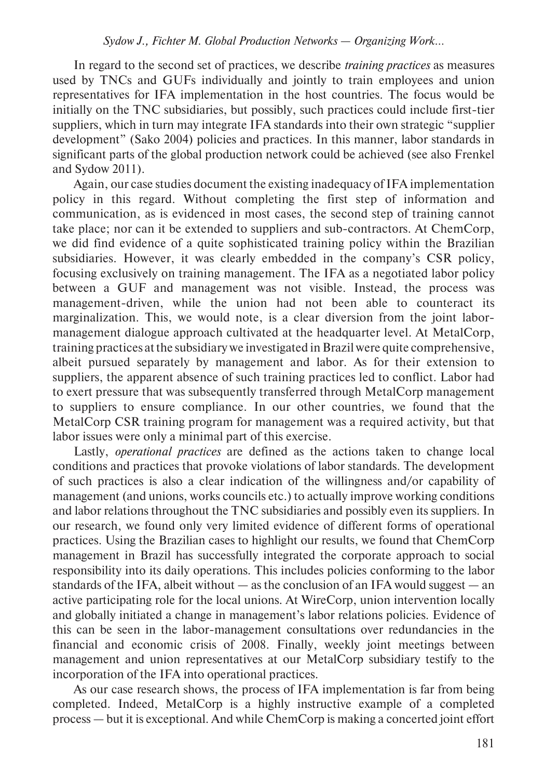In regard to the second set of practices, we describe *training practices* as measures used by TNCs and GUFs individually and jointly to train employees and union representatives for IFA implementation in the host countries. The focus would be initially on the TNC subsidiaries, but possibly, such practices could include first-tier suppliers, which in turn may integrate IFA standards into their own strategic "supplier development" (Sako 2004) policies and practices. In this manner, labor standards in significant parts of the global production network could be achieved (see also Frenkel and Sydow 2011).

Again, our case studies document the existing inadequacy of IFA implementation policy in this regard. Without completing the first step of information and communication, as is evidenced in most cases, the second step of training cannot take place; nor can it be extended to suppliers and sub-contractors. At ChemCorp, we did find evidence of a quite sophisticated training policy within the Brazilian subsidiaries. However, it was clearly embedded in the company's CSR policy, focusing exclusively on training management. The IFA as a negotiated labor policy between a GUF and management was not visible. Instead, the process was management-driven, while the union had not been able to counteract its marginalization. This, we would note, is a clear diversion from the joint labormanagement dialogue approach cultivated at the headquarter level. At MetalCorp, training practices at the subsidiary we investigated in Brazil were quite comprehensive, albeit pursued separately by management and labor. As for their extension to suppliers, the apparent absence of such training practices led to conflict. Labor had to exert pressure that was subsequently transferred through MetalCorp management to suppliers to ensure compliance. In our other countries, we found that the MetalCorp CSR training program for management was a required activity, but that labor issues were only a minimal part of this exercise.

Lastly, *operational practices* are defined as the actions taken to change local conditions and practices that provoke violations of labor standards. The development of such practices is also a clear indication of the willingness and/or capability of management (and unions, works councils etc.) to actually improve working conditions and labor relations throughout the TNC subsidiaries and possibly even its suppliers. In our research, we found only very limited evidence of different forms of operational practices. Using the Brazilian cases to highlight our results, we found that ChemCorp management in Brazil has successfully integrated the corporate approach to social responsibility into its daily operations. This includes policies conforming to the labor standards of the IFA, albeit without  $-\infty$  as the conclusion of an IFA would suggest  $-\infty$ active participating role for the local unions. At WireCorp, union intervention locally and globally initiated a change in management's labor relations policies. Evidence of this can be seen in the labor-management consultations over redundancies in the financial and economic crisis of 2008. Finally, weekly joint meetings between management and union representatives at our MetalCorp subsidiary testify to the incorporation of the IFA into operational practices.

As our case research shows, the process of IFA implementation is far from being completed. Indeed, MetalCorp is a highly instructive example of a completed process — but it is exceptional. And while ChemCorp is making a concerted joint effort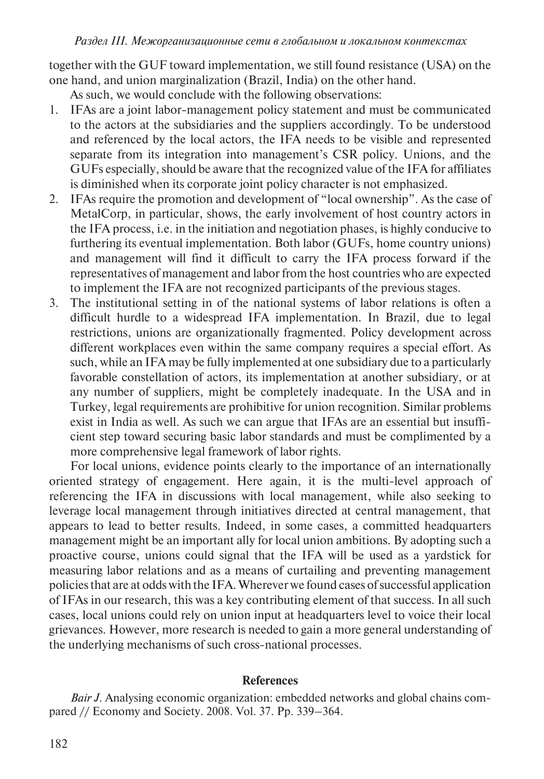*Раздел iii. Межорганизационные сети в глобальном и локальном контекстах*

together with the GUF toward implementation, we still found resistance (USA) on the one hand, and union marginalization (Brazil, India) on the other hand.

As such, we would conclude with the following observations:

- 1. IFAs are a joint labor-management policy statement and must be communicated to the actors at the subsidiaries and the suppliers accordingly. To be understood and referenced by the local actors, the IFA needs to be visible and represented separate from its integration into management's CSR policy. Unions, and the GUFs especially, should be aware that the recognized value of the IFA for affiliates is diminished when its corporate joint policy character is not emphasized.
- 2. IFAs require the promotion and development of "local ownership". As the case of MetalCorp, in particular, shows, the early involvement of host country actors in the IFA process, i.e. in the initiation and negotiation phases, is highly conducive to furthering its eventual implementation. Both labor (GUFs, home country unions) and management will find it difficult to carry the IFA process forward if the representatives of management and labor from the host countries who are expected to implement the IFA are not recognized participants of the previous stages.
- 3. The institutional setting in of the national systems of labor relations is often a difficult hurdle to a widespread IFA implementation. In Brazil, due to legal restrictions, unions are organizationally fragmented. Policy development across different workplaces even within the same company requires a special effort. As such, while an IFA may be fully implemented at one subsidiary due to a particularly favorable constellation of actors, its implementation at another subsidiary, or at any number of suppliers, might be completely inadequate. In the USA and in Turkey, legal requirements are prohibitive for union recognition. Similar problems exist in India as well. As such we can argue that IFAs are an essential but insufficient step toward securing basic labor standards and must be complimented by a more comprehensive legal framework of labor rights.

For local unions, evidence points clearly to the importance of an internationally oriented strategy of engagement. Here again, it is the multi-level approach of referencing the IFA in discussions with local management, while also seeking to leverage local management through initiatives directed at central management, that appears to lead to better results. Indeed, in some cases, a committed headquarters management might be an important ally for local union ambitions. By adopting such a proactive course, unions could signal that the IFA will be used as a yardstick for measuring labor relations and as a means of curtailing and preventing management policies that are at odds with the IFA. Wherever we found cases of successful application of IFAs in our research, this was a key contributing element of that success. In all such cases, local unions could rely on union input at headquarters level to voice their local grievances. However, more research is needed to gain a more general understanding of the underlying mechanisms of such cross-national processes.

#### **References**

*Bair J.* Analysing economic organization: embedded networks and global chains compared // Economy and Society. 2008. Vol. 37. Pp. 339–364.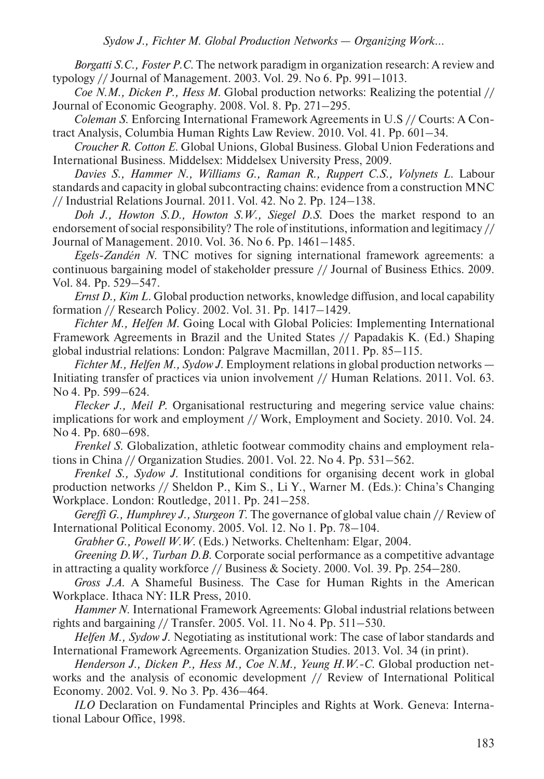*Borgatti S.C., Foster P.C.* The network paradigm in organization research: A review and typology // Journal of Management. 2003. Vol. 29. No 6. Pp. 991–1013.

*Coe N.M., Dicken P., Hess M.* Global production networks: Realizing the potential // Journal of Economic Geography. 2008. Vol. 8. Pp. 271–295.

*Coleman S.* Enforcing International Framework Agreements in U.S // Courts: A Contract Analysis, Columbia Human Rights Law Review. 2010. Vol. 41. Pp. 601–34.

*Croucher R. Cotton E.* Global Unions, Global Business. Global Union Federations and International Business. Middelsex: Middelsex University Press, 2009.

*Davies S., Hammer N., Williams G., Raman R., Ruppert C.S., Volynets L*. Labour standards and capacity in global subcontracting chains: evidence from a construction MNC // Industrial Relations Journal. 2011. Vol. 42. No 2. Pp. 124–138.

*Doh J., Howton S.D., Howton S.W., Siegel D.S.* Does the market respond to an endorsement of social responsibility? The role of institutions, information and legitimacy // Journal of Management. 2010. Vol. 36. No 6. Pp. 1461–1485.

*Egels-Zandén N.* TNC motives for signing international framework agreements: a continuous bargaining model of stakeholder pressure // Journal of Business Ethics. 2009. Vol. 84. Pp. 529–547.

*Ernst D., Kim L. Global production networks, knowledge diffusion, and local capability* formation // Research Policy. 2002. Vol. 31. Pp. 1417–1429.

*Fichter M., Helfen M.* Going Local with Global Policies: Implementing International Framework Agreements in Brazil and the United States // Papadakis K. (Ed.) Shaping global industrial relations: London: Palgrave Macmillan, 2011. Pp. 85–115.

*Fichter M., Helfen M., Sydow J.* Employment relations in global production networks — Initiating transfer of practices via union involvement // Human Relations. 2011. Vol. 63. No 4. Pp. 599–624.

*Flecker J., Meil P.* Organisational restructuring and megering service value chains: implications for work and employment // Work, Employment and Society. 2010. Vol. 24. No 4. Pp. 680–698.

*Frenkel S.* Globalization, athletic footwear commodity chains and employment relations in China // Organization Studies. 2001. Vol. 22. No 4. Pp. 531–562.

*Frenkel S., Sydow J.* Institutional conditions for organising decent work in global production networks // Sheldon P., Kim S., Li Y., Warner M. (Eds.): China's Changing Workplace. London: Routledge, 2011. Pp. 241–258.

*Gereffi G., Humphrey J., Sturgeon T.* The governance of global value chain // Review of International Political Economy. 2005. Vol. 12. No 1. Pp. 78–104.

*Grabher G., Powell W.W.* (Eds.) Networks. Cheltenham: Elgar, 2004.

*Greening D.W., Turban D.B.* Corporate social performance as a competitive advantage in attracting a quality workforce // Business & Society. 2000. Vol. 39. Pp. 254–280.

*Gross J.A.* A Shameful Business. The Case for Human Rights in the American Workplace. Ithaca NY: ILR Press, 2010.

*Hammer N.* International Framework Agreements: Global industrial relations between rights and bargaining // Transfer. 2005. Vol. 11. No 4. Pp. 511–530.

*Helfen M., Sydow J.* Negotiating as institutional work: The case of labor standards and International Framework Agreements. Organization Studies. 2013. Vol. 34 (in print).

*Henderson J., Dicken P., Hess M., Coe N.M., Yeung H.W.-C. Global production net*works and the analysis of economic development // Review of International Political Economy. 2002. Vol. 9. No 3. Pp. 436–464.

*ILO* Declaration on Fundamental Principles and Rights at Work. Geneva: International Labour Office, 1998.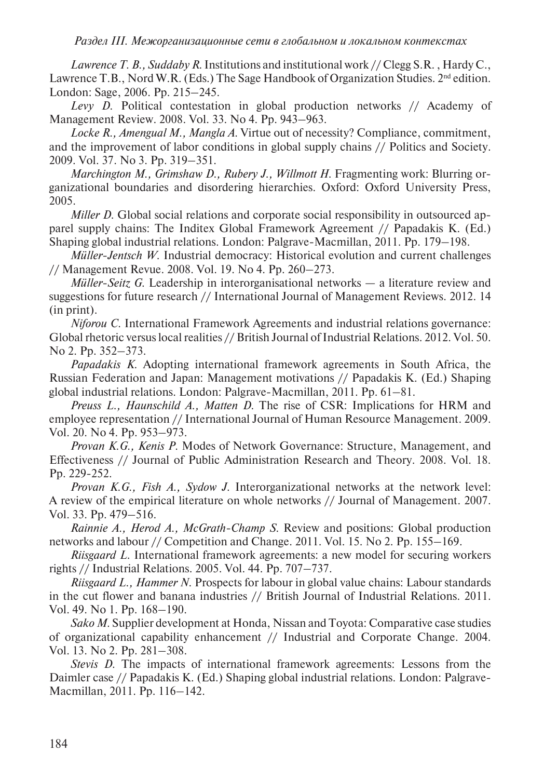*Раздел iii. Межорганизационные сети в глобальном и локальном контекстах*

*Lawrence T. B., Suddaby R.* Institutions and institutional work // Clegg S.R. , Hardy C., Lawrence T.B., Nord W.R. (Eds.) The Sage Handbook of Organization Studies. 2<sup>nd</sup> edition. London: Sage, 2006. Pp. 215–245.

*Levy D*. Political contestation in global production networks // Academy of Management Review. 2008. Vol. 33. No 4. Pp. 943–963.

*Locke R., Amengual M., Mangla A.* Virtue out of necessity? Compliance, commitment, and the improvement of labor conditions in global supply chains // Politics and Society. 2009. Vol. 37. No 3. Pp. 319–351.

*Marchington M., Grimshaw D., Rubery J., Willmott H.* Fragmenting work: Blurring organizational boundaries and disordering hierarchies. Oxford: Oxford University Press, 2005.

*Miller D.* Global social relations and corporate social responsibility in outsourced apparel supply chains: The Inditex Global Framework Agreement // Papadakis K. (Ed.) Shaping global industrial relations. London: Palgrave-Macmillan, 2011. Pp. 179–198.

*Müller-Jentsch W.* Industrial democracy: Historical evolution and current challenges // Management Revue. 2008. Vol. 19. No 4. Pp. 260–273.

*Müller-Seitz G.* Leadership in interorganisational networks — a literature review and suggestions for future research // International Journal of Management Reviews. 2012. 14 (in print).

*Niforou C*. International Framework Agreements and industrial relations governance: Global rhetoric versus local realities // British Journal of Industrial Relations. 2012. Vol. 50. No 2. Pp. 352–373.

*Papadakis K.* Adopting international framework agreements in South Africa, the Russian Federation and Japan: Management motivations // Papadakis K. (Ed.) Shaping global industrial relations. London: Palgrave-Macmillan, 2011. Pp. 61–81.

*Preuss L., Haunschild A., Matten D.* The rise of CSR: Implications for HRM and employee representation // International Journal of Human Resource Management. 2009. Vol. 20. No 4. Pp. 953–973.

*Provan K.G., Kenis P.* Modes of Network Governance: Structure, Management, and Effectiveness // Journal of Public Administration Research and Theory. 2008. Vol. 18. Pp. 229-252.

*Provan K.G., Fish A., Sydow J.* Interorganizational networks at the network level: A review of the empirical literature on whole networks // Journal of Management. 2007. Vol. 33. Pp. 479–516.

*Rainnie A., Herod A., McGrath-Champ S.* Review and positions: Global production networks and labour // Competition and Change. 2011. Vol. 15. No 2. Pp. 155–169.

*Riisgaard L.* International framework agreements: a new model for securing workers rights // Industrial Relations. 2005. Vol. 44. Pp. 707–737.

*Riisgaard L., Hammer N*. Prospects for labour in global value chains: Labour standards in the cut flower and banana industries // British Journal of Industrial Relations. 2011. Vol. 49. No 1. Pp. 168–190.

*Sako M.* Supplier development at Honda, Nissan and Toyota: Comparative case studies of organizational capability enhancement // Industrial and Corporate Change. 2004. Vol. 13. No 2. Pp. 281–308.

*Stevis D*. The impacts of international framework agreements: Lessons from the Daimler case // Papadakis K. (Ed.) Shaping global industrial relations. London: Palgrave-Macmillan, 2011. Pp. 116–142.